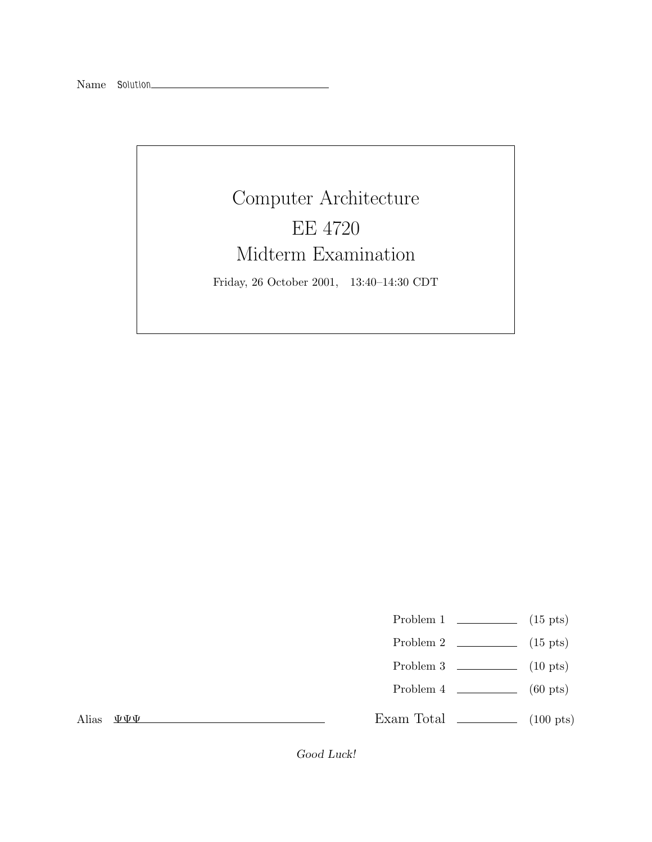Computer Architecture EE 4720 Midterm Examination Friday, 26 October 2001, 13:40–14:30 CDT

Problem 1  $\qquad \qquad$  (15 pts)

- Problem 2  $\qquad \qquad$  (15 pts)
- Problem 3 (10 pts)
- Problem 4 (60 pts)

Alias ΨΨΨ

Exam Total  $\qquad \qquad$  (100 pts)

Good Luck!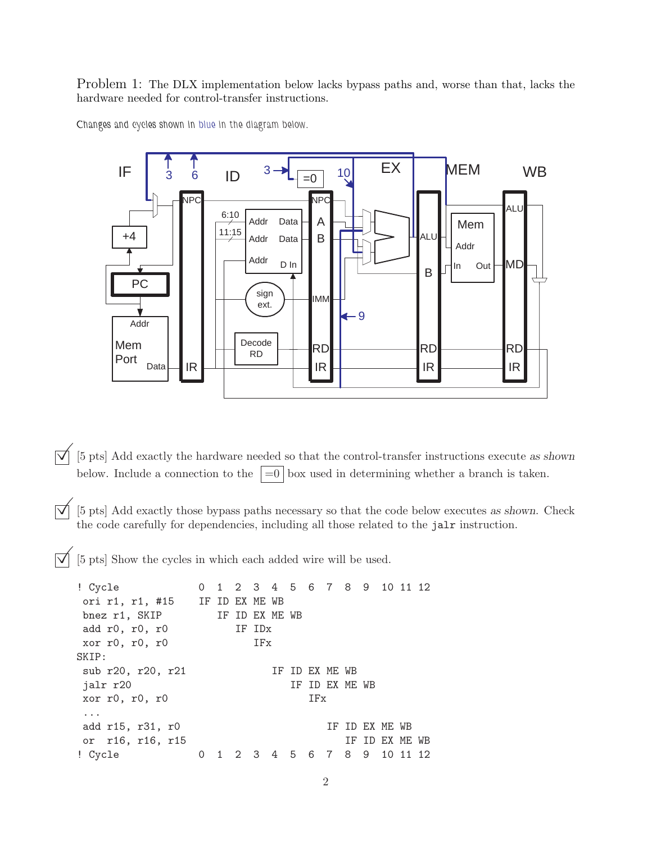Problem 1: The DLX implementation below lacks bypass paths and, worse than that, lacks the hardware needed for control-transfer instructions.





 $\overrightarrow{\mathsf{Q}}$  [5 pts] Add exactly the hardware needed so that the control-transfer instructions execute as shown below. Include a connection to the  $\vert =0 \vert$  box used in determining whether a branch is taken.

 $\overline{|\mathcal{A}|}$  [5 pts] Add exactly those bypass paths necessary so that the code below executes as shown. Check the code carefully for dependencies, including all those related to the jalr instruction.

©[5 pts] Show the cycles in which each added wire will be used.

```
! Cycle 0 1 2 3 4 5 6 7 8 9 10 11 12
ori r1, r1, #15 IF ID EX ME WB
bnez r1, SKIP IF ID EX ME WB
add r0, r0, r0 IF IDx
xor r0, r0, r0 IFx
SKIP:
sub r20, r20, r21 IF ID EX ME WB
jalr r20 IF ID EX ME WB
xor r0, r0, r0 IFx
...
add r15, r31, r0 IF ID EX ME WB
or r16, r16, r15 IF ID EX ME WB
! Cycle 0 1 2 3 4 5 6 7 8 9 10 11 12
```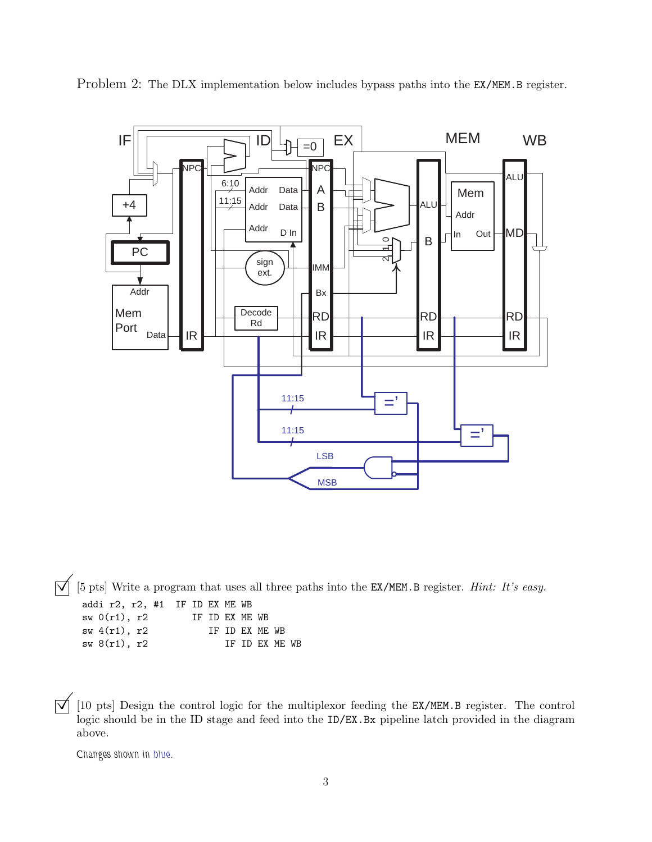

Problem 2: The DLX implementation below includes bypass paths into the EX/MEM.B register.

©[5 pts] Write a program that uses all three paths into the EX/MEM.B register. *Hint: It's easy.* TE TD EY ME WB

| addi IZ, IZ, #1 IF ID EA ME WD |  |  |                 |  |                |                |  |
|--------------------------------|--|--|-----------------|--|----------------|----------------|--|
| sw(0r1), r2                    |  |  | TF TD FX MF. WB |  |                |                |  |
| sw $4(r1)$ , r2                |  |  |                 |  | IF ID EX ME WB |                |  |
| $sw 8(r1)$ , r2                |  |  |                 |  |                | IF ID EX ME WB |  |
|                                |  |  |                 |  |                |                |  |

 $\Box$  [10 pts] Design the control logic for the multiplexor feeding the EX/MEM.B register. The control logic should be in the ID stage and feed into the ID/EX.Bx pipeline latch provided in the diagram above.

*Changes shown in blue.*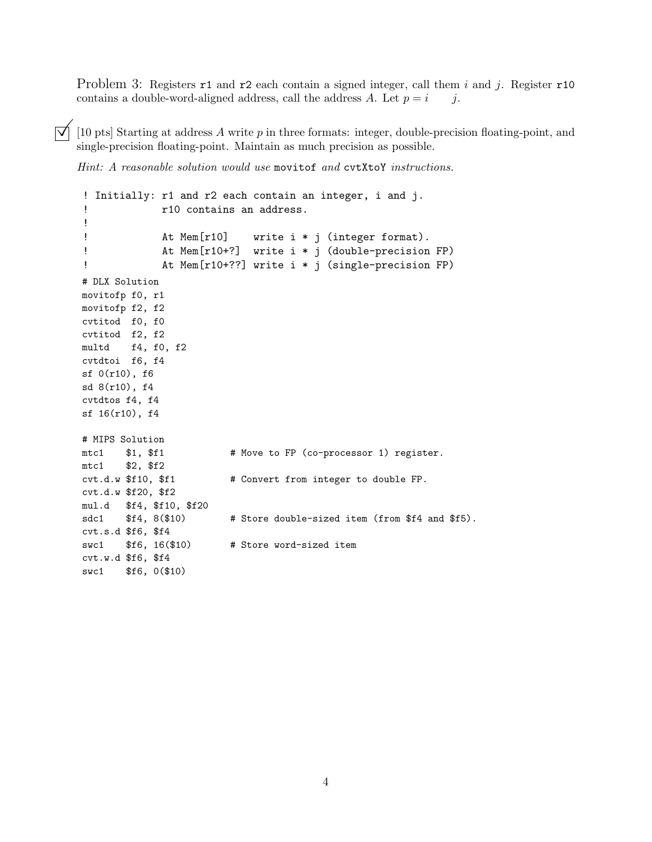Problem 3: Registers r1 and r2 each contain a signed integer, call them i and j. Register r10 contains a double-word-aligned address, call the address A. Let  $p = i$  j.

 $[\nabla]$  [10 pts] Starting at address A write p in three formats: integer, double-precision floating-point, and single-precision floating-point. Maintain as much precision as possible.

*Hint: A reasonable solution would use* movitof *and* cvtXtoY *instructions.*

```
! Initially: r1 and r2 each contain an integer, i and j.
! r10 contains an address.
!
! At Mem[r10] write i * j (integer format).
! At Mem[r10+?] write i * j (double-precision FP)
! At Mem[r10+??] write i * j (single-precision FP)
# DLX Solution
movitofp f0, r1
movitofp f2, f2
cvtitod f0, f0
cvtitod f2, f2
multd f4, f0, f2
cvtdtoi f6, f4
sf 0(r10), f6
sd 8(r10), f4
cvtdtos f4, f4
sf 16(r10), f4
# MIPS Solution
mtc1 $1, $f1 # Move to FP (co-processor 1) register.
mtc1 $2, $f2
cvt.d.w $f10, $f1 # Convert from integer to double FP.
cvt.d.w $f20, $f2
mul.d $f4, $f10, $f20
sdc1 $f4, 8 ($10) # Store double-sized item (from $f4 and $f5).
cvt.s.d $f6, $f4
swc1 $f6, 16($10) # Store word-sized item
cvt.w.d $f6, $f4
swc1 $f6, 0($10)
```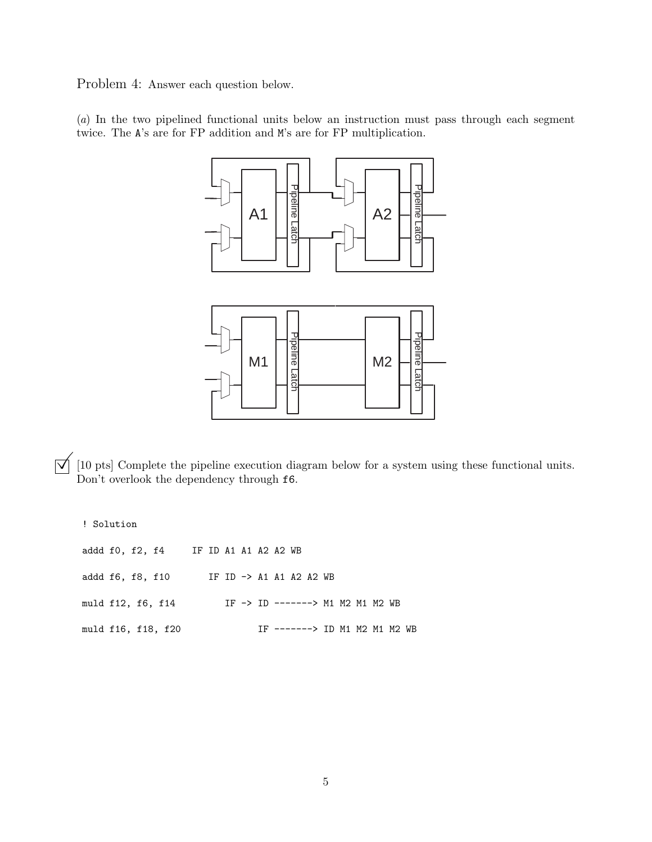Problem 4: Answer each question below.

(*a*) In the two pipelined functional units below an instruction must pass through each segment twice. The A's are for FP addition and M's are for FP multiplication.



 $\overline{O}$  [10 pts] Complete the pipeline execution diagram below for a system using these functional units.<br>Don't overlook the dependency through **f6**.

! Solution

|                  |  | addd f0, f2, f4 IF ID A1 A1 A2 A2 WB |  |  |  |                                  |  |  |                               |  |
|------------------|--|--------------------------------------|--|--|--|----------------------------------|--|--|-------------------------------|--|
| addd f6, f8, f10 |  |                                      |  |  |  | IF ID -> A1 A1 A2 A2 WB          |  |  |                               |  |
|                  |  | muld f12, f6, f14                    |  |  |  | IF -> ID -------> M1 M2 M1 M2 WB |  |  |                               |  |
|                  |  | muld f16, f18, f20                   |  |  |  |                                  |  |  | IF -------> ID M1 M2 M1 M2 WB |  |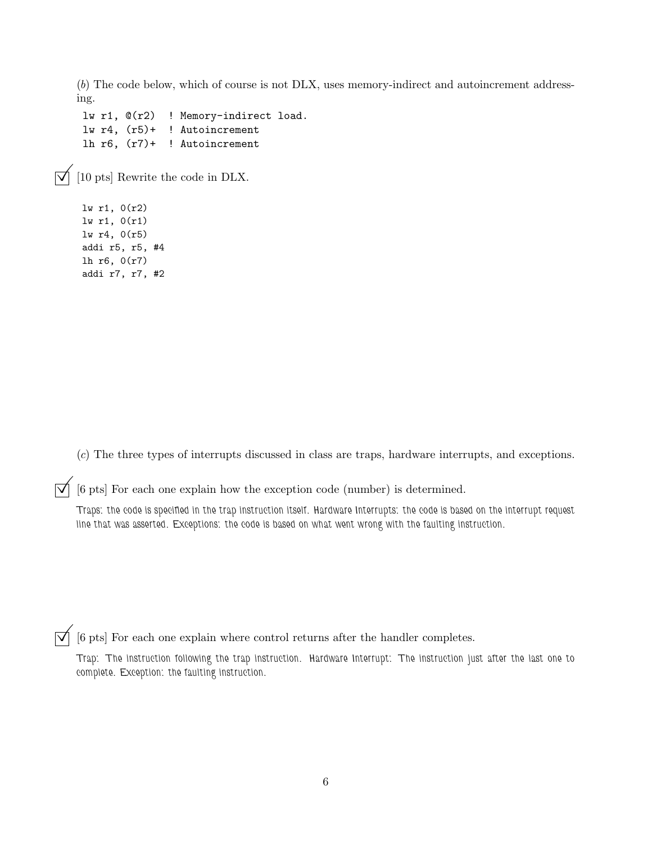(*b*) The code below, which of course is not DLX, uses memory-indirect and autoincrement addressing.

lw r1, @(r2) ! Memory-indirect load. lw r4, (r5)+ ! Autoincrement lh r6, (r7)+ ! Autoincrement

 $\triangledown$  [10 pts] Rewrite the code in DLX.

lw r1, 0(r2) lw r1, 0(r1) lw r4, 0(r5) addi r5, r5, #4 lh r6, 0(r7) addi r7, r7, #2

(*c*) The three types of interrupts discussed in class are traps, hardware interrupts, and exceptions.

 $[\vec{\nabla}]$  [6 pts] For each one explain how the exception code (number) is determined.

*Traps: the code is specified in the trap instruction itself. Hardware Interrupts: the code is based on the interrupt request line that was asserted. Exceptions: the code is based on what went wrong with the faulting instruction.*

 $\vert\overrightarrow{\mathsf{q}}\vert$  [6 pts] For each one explain where control returns after the handler completes.

*Trap: The instruction following the trap instruction. Hardware Interrupt: The instruction just after the last one to complete. Exception: the faulting instruction.*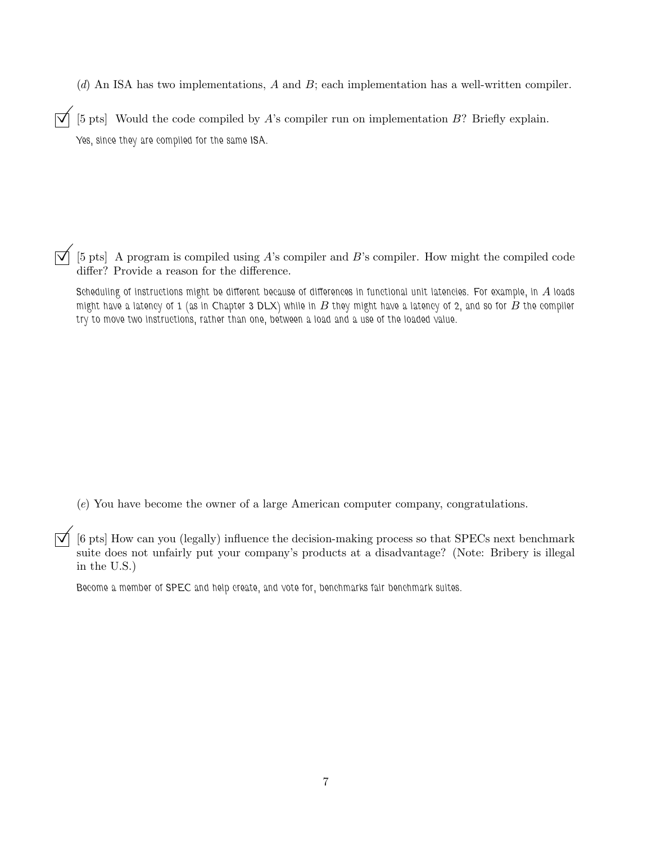(*d*) An ISA has two implementations, A and B; each implementation has a well-written compiler.

 $\overline{\triangledown}$  [5 pts] Would the code compiled by A's compiler run on implementation B? Briefly explain. *Yes, since they are compiled for the same ISA.*

[5 pts] A program is compiled using  $A$ 's compiler and  $B$ 's compiler. How might the compiled code differ? Provide a reason for the difference.

Scheduling of instructions might be different because of differences in functional unit latencies. For example, in A loads *might have a latency of 1 (as in Chapter 3 DLX) while in* B *they might have a latency of 2, and so for* B *the compiler try to move two instructions, rather than one, between a load and a use of the loaded value.*

(*e*) You have become the owner of a large American computer company, congratulations.

 $\overline{y}$  [6 pts] How can you (legally) influence the decision-making process so that SPECs next benchmark suite does not unfairly put your company's products at a disadvantage? (Note: Bribery is illegal in the U.S.)

*Become a member of SPEC and help create, and vote for, benchmarks fair benchmark suites.*